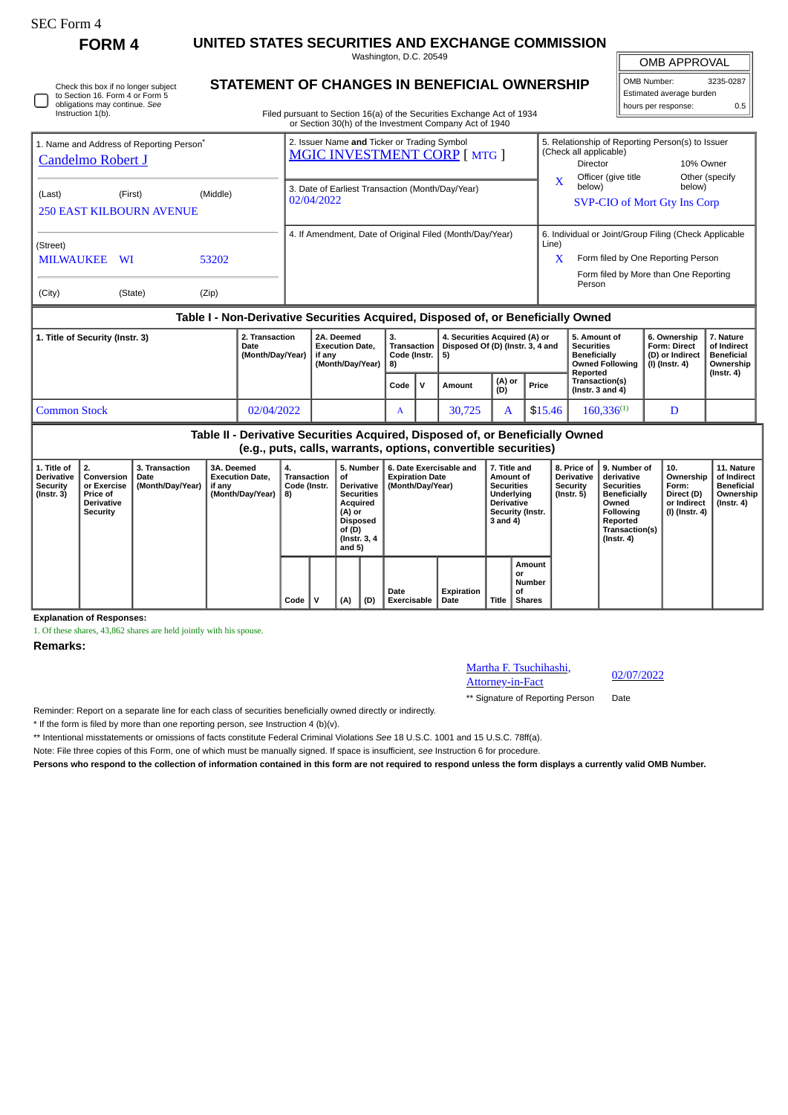Instruction 1(b).

## **FORM 4 UNITED STATES SECURITIES AND EXCHANGE COMMISSION**

Washington, D.C. 20549

OMB APPROVAL

 $\mathbb{F}$ 

| OMB Number:              | 3235-0287 |  |  |  |  |  |  |  |  |
|--------------------------|-----------|--|--|--|--|--|--|--|--|
| Estimated average burden |           |  |  |  |  |  |  |  |  |
| hours per response:      | 0.5       |  |  |  |  |  |  |  |  |

Check this box if no longer subject to Section 16. Form 4 or Form 5 obligations may continue. *See*

## **STATEMENT OF CHANGES IN BENEFICIAL OWNERSHIP**

Filed pursuant to Section 16(a) of the Securities Exchange Act of 1934 or Section 30(h) of the Investment Company Act of 1940

| 1. Name and Address of Reporting Person <sup>®</sup><br><b>Candelmo Robert J</b> |          |  | 2. Issuer Name and Ticker or Trading Symbol<br><b>MGIC INVESTMENT CORP [MTG ]</b> |    |                                                                                 |            | 5. Relationship of Reporting Person(s) to Issuer<br>(Check all applicable)<br>Director<br>Officer (give title)                       |                                     | 10% Owner                |  |  |
|----------------------------------------------------------------------------------|----------|--|-----------------------------------------------------------------------------------|----|---------------------------------------------------------------------------------|------------|--------------------------------------------------------------------------------------------------------------------------------------|-------------------------------------|--------------------------|--|--|
| (Last)<br>(First)<br><b>250 EAST KILBOURN AVENUE</b>                             | (Middle) |  | 3. Date of Earliest Transaction (Month/Day/Year)<br>02/04/2022                    |    |                                                                                 | X          | Other (specify<br>below)<br><b>SVP-CIO of Mort Gty Ins Corp</b>                                                                      |                                     |                          |  |  |
| (Street)<br><b>MILWAUKEE</b><br><b>WI</b>                                        | 53202    |  |                                                                                   |    | 4. If Amendment, Date of Original Filed (Month/Day/Year)                        | Line)<br>X | 6. Individual or Joint/Group Filing (Check Applicable<br>Form filed by One Reporting Person<br>Form filed by More than One Reporting |                                     |                          |  |  |
| (City)<br>(State)                                                                | (Zip)    |  |                                                                                   |    |                                                                                 |            | Person                                                                                                                               |                                     |                          |  |  |
| Table I - Non-Derivative Securities Acquired, Disposed of, or Beneficially Owned |          |  |                                                                                   |    |                                                                                 |            |                                                                                                                                      |                                     |                          |  |  |
| 2. Transaction<br>1. Title of Security (Instr. 3)<br>Date                        |          |  | 2A. Deemed<br><b>Execution Date,</b>                                              | 3. | 4. Securities Acquired (A) or<br>Transaction   Disposed Of (D) (Instr. 3, 4 and |            | 5. Amount of<br><b>Securities</b>                                                                                                    | 6. Ownership<br><b>Form: Direct</b> | 7. Nature<br>of Indirect |  |  |

|                     | (Month/Day/Year) | if anv<br>(Month/Dav/Year) | Code (Instr.   5)<br>  8) |    |        |               |         | <b>Beneficially</b><br>Owned Following  <br>Reported | (D) or Indirect<br>  (I) (Instr. 4) | Beneficial<br>Ownership<br>(Instr. 4) |
|---------------------|------------------|----------------------------|---------------------------|----|--------|---------------|---------|------------------------------------------------------|-------------------------------------|---------------------------------------|
|                     |                  |                            | ' Code                    | ۱v | Amount | (A) or<br>(D) | Price   | Transaction(s)<br>(Instr. $3$ and $4$ )              |                                     |                                       |
| <b>Common Stock</b> | 02/04/2022       |                            |                           |    | 30,725 |               | \$15.46 | $160.336^{(1)}$                                      |                                     |                                       |

**Table II - Derivative Securities Acquired, Disposed of, or Beneficially Owned (e.g., puts, calls, warrants, options, convertible securities)**

| 1. Title of<br><b>Derivative</b><br><b>Security</b><br>$($ Instr. 3 $)$ | 2.<br>Conversion<br>or Exercise<br>Price of<br><b>Derivative</b><br>Security | <b>3. Transaction</b><br>Date<br>(Month/Day/Year) | 3A. Deemed<br><b>Execution Date.</b><br>if any<br>(Month/Day/Year) | 4.<br>Transaction<br>Code (Instr.<br>8) |   | 5. Number<br>οf<br><b>Derivative</b><br><b>Securities</b><br>Acquired<br>(A) or<br>Disposed<br>of (D)<br>(Instr. 3, 4)<br>and $5)$<br>(A)<br>(D) |  | 6. Date Exercisable and<br><b>Expiration Date</b><br>(Month/Day/Year) | 7. Title and<br>Amount of<br><b>Securities</b><br>Underlying<br><b>Derivative</b><br>Security (Instr.<br>3 and 4) |       | 8. Price of  <br>Derivative<br>Security<br>(Instr. 5) | 9. Number of<br>derivative<br><b>Securities</b><br><b>Beneficially</b><br>Owned<br>Following<br>Reported<br>Transaction(s)<br>$($ Instr. 4 $)$ | 10.<br>Ownership<br>Form:<br>Direct (D)<br>or Indirect<br>(I) (Instr. 4) | 11. Nature<br>of Indirect<br>Beneficial<br>Ownership<br>(Instr. 4) |
|-------------------------------------------------------------------------|------------------------------------------------------------------------------|---------------------------------------------------|--------------------------------------------------------------------|-----------------------------------------|---|--------------------------------------------------------------------------------------------------------------------------------------------------|--|-----------------------------------------------------------------------|-------------------------------------------------------------------------------------------------------------------|-------|-------------------------------------------------------|------------------------------------------------------------------------------------------------------------------------------------------------|--------------------------------------------------------------------------|--------------------------------------------------------------------|
|                                                                         |                                                                              |                                                   |                                                                    | Code                                    | ν |                                                                                                                                                  |  | Date<br><b>Exercisable</b>                                            | Expiration<br>Date                                                                                                | Title | Amount<br>or<br><b>Number</b><br>οf<br><b>Shares</b>  |                                                                                                                                                |                                                                          |                                                                    |

**Explanation of Responses:**

1. Of these shares, 43,862 shares are held jointly with his spouse.

**Remarks:**

## Martha F. Tsuchihashi, <u>Martha F. Isuchinashi, american diparte 02/07/2022</u>

\*\* Signature of Reporting Person Date

Reminder: Report on a separate line for each class of securities beneficially owned directly or indirectly.

\* If the form is filed by more than one reporting person, *see* Instruction 4 (b)(v).

\*\* Intentional misstatements or omissions of facts constitute Federal Criminal Violations *See* 18 U.S.C. 1001 and 15 U.S.C. 78ff(a).

Note: File three copies of this Form, one of which must be manually signed. If space is insufficient, *see* Instruction 6 for procedure.

**Persons who respond to the collection of information contained in this form are not required to respond unless the form displays a currently valid OMB Number.**